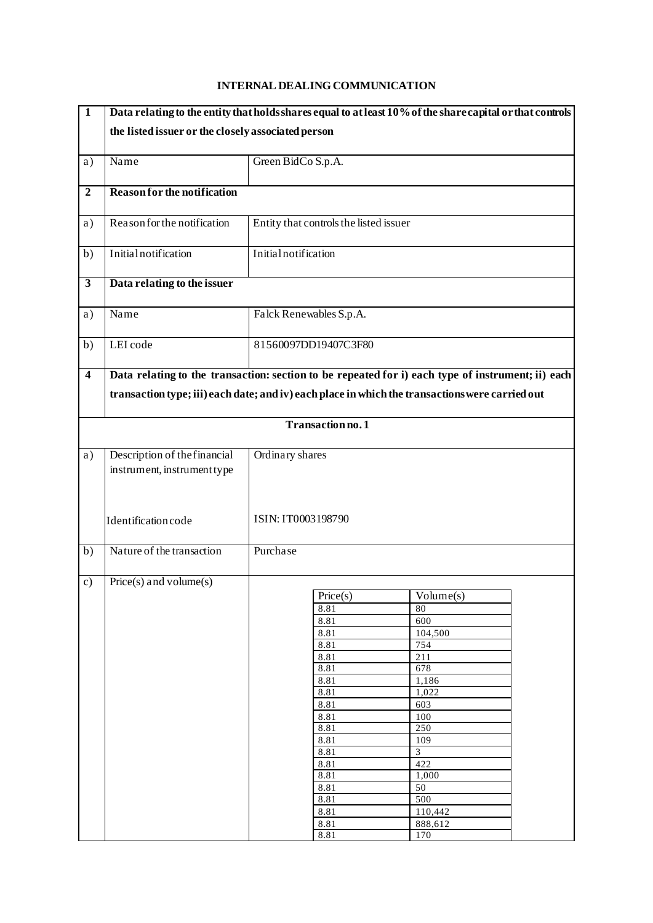## **1 Data relating to the entity that holds shares equal to at least 10% of the share capital or that controls the listed issuer or the closely associated person** a) Name Green BidCo S.p.A. **2 Reason for the notification** a) Reason for the notification Entity that controls the listed issuer b) Initial notification Initial notification **3 Data relating to the issuer** a) Name Falck Renewables S.p.A. b) LEI code 81560097DD19407C3F80 **4 Data relating to the transaction: section to be repeated for i) each type of instrument; ii) each transaction type; iii) each date; and iv) each place in which the transactions were carried out Transaction no. 1** a) Description of the financial instrument, instrument type Identification code Ordinary shares ISIN: IT0003198790 b) Nature of the transaction Purchase c) Price(s) and volume(s) Price(s) Volume(s) 8.81 80 8.81 600 8.81 104,500<br>8.81 754 8.81 8.81 211<br>8.81 678 8.81 8.81 1,186 8.81 1,022 8.81 603 8.81 100 8.81 250<br>8.81 109 8.81 8.81 3<br>8.81 422 8.81 8.81 1,000 8.81 50 8.81 500 8.81 110,442 8.81 888,612 8.81 170

## **INTERNAL DEALING COMMUNICATION**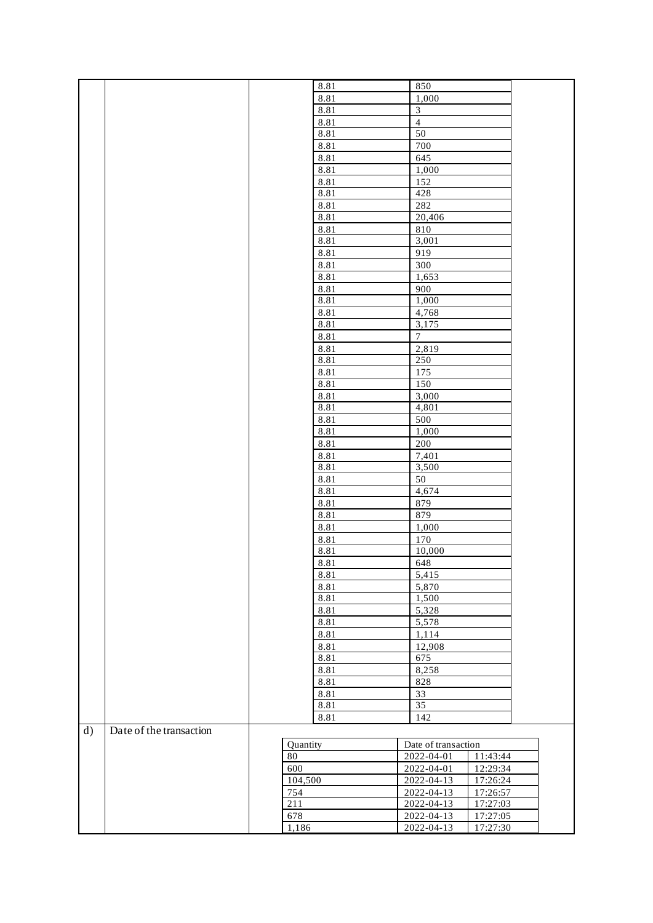|    |                         |       | 8.81     | 850                            |                     |  |
|----|-------------------------|-------|----------|--------------------------------|---------------------|--|
|    |                         |       | 8.81     | 1,000                          |                     |  |
|    |                         |       | 8.81     | $\overline{\mathbf{3}}$        |                     |  |
|    |                         |       | 8.81     | $\overline{4}$                 |                     |  |
|    |                         |       | 8.81     | 50                             |                     |  |
|    |                         |       | 8.81     | 700                            |                     |  |
|    |                         |       | 8.81     | 645                            |                     |  |
|    |                         |       | 8.81     | 1,000                          |                     |  |
|    |                         |       | 8.81     | 152                            |                     |  |
|    |                         |       | 8.81     | 428                            |                     |  |
|    |                         |       | 8.81     | 282                            |                     |  |
|    |                         |       | 8.81     | 20,406                         |                     |  |
|    |                         |       | 8.81     | $810\,$                        |                     |  |
|    |                         |       | 8.81     | 3,001                          |                     |  |
|    |                         |       | 8.81     | 919                            |                     |  |
|    |                         |       | 8.81     | 300                            |                     |  |
|    |                         |       | 8.81     | 1,653                          |                     |  |
|    |                         |       | 8.81     | 900                            |                     |  |
|    |                         |       | 8.81     | 1,000                          |                     |  |
|    |                         |       | 8.81     | 4,768                          |                     |  |
|    |                         |       | 8.81     | 3,175                          |                     |  |
|    |                         |       | 8.81     | $\boldsymbol{7}$               |                     |  |
|    |                         |       | 8.81     | 2,819                          |                     |  |
|    |                         |       | 8.81     | 250                            |                     |  |
|    |                         |       | 8.81     | 175                            |                     |  |
|    |                         |       | 8.81     | 150                            |                     |  |
|    |                         |       | 8.81     | 3,000                          |                     |  |
|    |                         |       | 8.81     | 4,801                          |                     |  |
|    |                         |       | 8.81     | 500                            |                     |  |
|    |                         |       | 8.81     | 1,000                          |                     |  |
|    |                         |       | 8.81     | 200                            |                     |  |
|    |                         |       | 8.81     | 7,401                          |                     |  |
|    |                         |       | 8.81     | 3,500                          |                     |  |
|    |                         |       | 8.81     | 50                             |                     |  |
|    |                         |       | 8.81     | 4,674                          |                     |  |
|    |                         |       | 8.81     | 879                            |                     |  |
|    |                         |       | 8.81     | 879                            |                     |  |
|    |                         |       | 8.81     | 1,000                          |                     |  |
|    |                         |       | 8.81     | 170                            |                     |  |
|    |                         |       | 8.81     | 10,000                         |                     |  |
|    |                         |       | 8.81     | 648                            |                     |  |
|    |                         |       | 8.81     | 5,415                          |                     |  |
|    |                         |       | 8.81     | 5,870                          |                     |  |
|    |                         |       | 8.81     | 1,500                          |                     |  |
|    |                         |       | 8.81     | 5,328                          |                     |  |
|    |                         |       | 8.81     | 5,578                          |                     |  |
|    |                         |       | 8.81     | 1,114                          |                     |  |
|    |                         |       | 8.81     | 12,908                         |                     |  |
|    |                         |       | 8.81     | 675                            |                     |  |
|    |                         |       | 8.81     | 8,258                          |                     |  |
|    |                         |       | 8.81     | 828                            |                     |  |
|    |                         |       | 8.81     | 33                             |                     |  |
|    |                         |       | 8.81     | $\overline{35}$                |                     |  |
|    |                         |       | 8.81     | 142                            |                     |  |
| d) | Date of the transaction |       |          |                                |                     |  |
|    |                         |       | Quantity |                                | Date of transaction |  |
|    |                         | 80    |          |                                | 11:43:44            |  |
|    |                         | 600   |          | 2022-04-01<br>$2022 - 04 - 13$ | 12:29:34            |  |
|    |                         |       | 104,500  |                                | 17:26:24            |  |
|    |                         | 754   |          |                                | 17:26:57            |  |
|    |                         | 211   |          | 2022-04-13                     | 17:27:03            |  |
|    |                         | 678   |          | 2022-04-13                     | 17:27:05            |  |
|    |                         | 1,186 |          | $2022 - 04 - 13$               | 17:27:30            |  |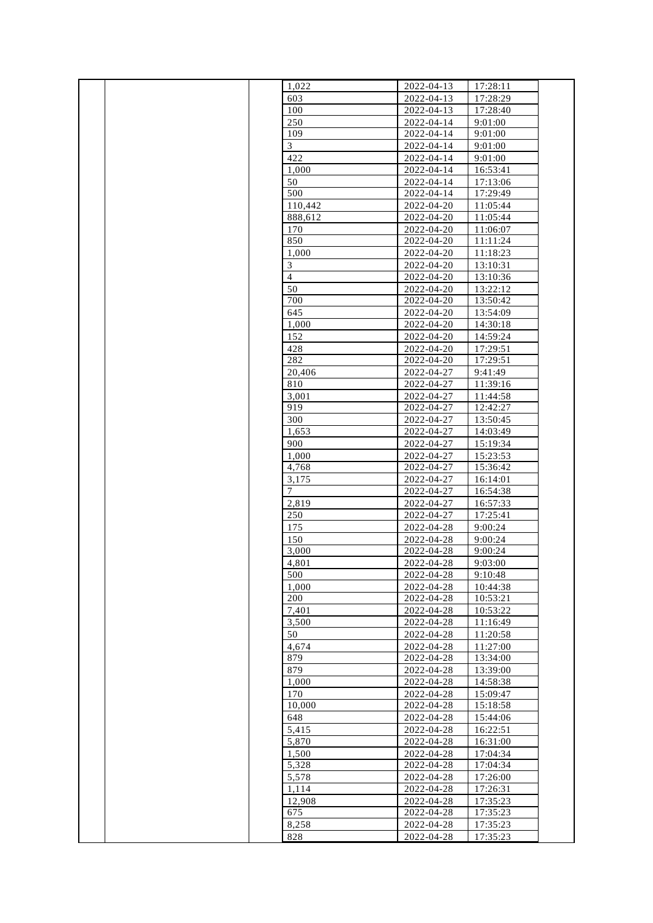|  | 1,022          | 2022-04-13 | 17:28:11 |  |
|--|----------------|------------|----------|--|
|  | 603            | 2022-04-13 | 17:28:29 |  |
|  |                |            |          |  |
|  | 100            | 2022-04-13 | 17:28:40 |  |
|  | 250            | 2022-04-14 | 9:01:00  |  |
|  | 109            | 2022-04-14 | 9:01:00  |  |
|  | 3              | 2022-04-14 | 9:01:00  |  |
|  | 422            | 2022-04-14 | 9:01:00  |  |
|  | 1,000          | 2022-04-14 | 16:53:41 |  |
|  | 50             | 2022-04-14 | 17:13:06 |  |
|  | 500            | 2022-04-14 | 17:29:49 |  |
|  | 110,442        | 2022-04-20 | 11:05:44 |  |
|  | 888.612        | 2022-04-20 | 11:05:44 |  |
|  | 170            | 2022-04-20 | 11:06:07 |  |
|  | 850            | 2022-04-20 | 11:11:24 |  |
|  | 1,000          | 2022-04-20 | 11:18:23 |  |
|  | 3              | 2022-04-20 | 13:10:31 |  |
|  | $\overline{4}$ | 2022-04-20 | 13:10:36 |  |
|  |                |            |          |  |
|  | 50             | 2022-04-20 | 13:22:12 |  |
|  | 700            | 2022-04-20 | 13:50:42 |  |
|  | 645            | 2022-04-20 | 13:54:09 |  |
|  | 1,000          | 2022-04-20 | 14:30:18 |  |
|  | 152            | 2022-04-20 | 14:59:24 |  |
|  | 428            | 2022-04-20 | 17:29:51 |  |
|  | 282            | 2022-04-20 | 17:29:51 |  |
|  | 20,406         | 2022-04-27 | 9:41:49  |  |
|  | 810            | 2022-04-27 | 11:39:16 |  |
|  | 3,001          | 2022-04-27 | 11:44:58 |  |
|  | 919            | 2022-04-27 | 12:42:27 |  |
|  | 300            | 2022-04-27 | 13:50:45 |  |
|  | 1,653          | 2022-04-27 | 14:03:49 |  |
|  | 900            | 2022-04-27 | 15:19:34 |  |
|  | 1,000          | 2022-04-27 | 15:23:53 |  |
|  | 4,768          | 2022-04-27 | 15:36:42 |  |
|  | 3,175          | 2022-04-27 | 16:14:01 |  |
|  | 7              | 2022-04-27 | 16:54:38 |  |
|  | 2,819          | 2022-04-27 | 16:57:33 |  |
|  | 250            | 2022-04-27 | 17:25:41 |  |
|  | 175            | 2022-04-28 | 9:00:24  |  |
|  |                |            |          |  |
|  | 150            | 2022-04-28 | 9:00:24  |  |
|  | 3,000          | 2022-04-28 | 9:00:24  |  |
|  | 4,801          | 2022-04-28 | 9:03:00  |  |
|  | 500            | 2022-04-28 | 9:10:48  |  |
|  | 1,000          | 2022-04-28 | 10:44:38 |  |
|  | 200            | 2022-04-28 | 10:53:21 |  |
|  | 7,401          | 2022-04-28 | 10:53:22 |  |
|  | 3,500          | 2022-04-28 | 11:16:49 |  |
|  | 50             | 2022-04-28 | 11:20:58 |  |
|  | 4,674          | 2022-04-28 | 11:27:00 |  |
|  | 879            | 2022-04-28 | 13:34:00 |  |
|  | 879            | 2022-04-28 | 13:39:00 |  |
|  | 1,000          | 2022-04-28 | 14:58:38 |  |
|  | 170            | 2022-04-28 | 15:09:47 |  |
|  | 10,000         | 2022-04-28 | 15:18:58 |  |
|  | 648            | 2022-04-28 | 15:44:06 |  |
|  | 5,415          | 2022-04-28 | 16:22:51 |  |
|  | 5,870          | 2022-04-28 | 16:31:00 |  |
|  | 1,500          | 2022-04-28 | 17:04:34 |  |
|  | 5,328          | 2022-04-28 | 17:04:34 |  |
|  | 5,578          | 2022-04-28 | 17:26:00 |  |
|  | 1,114          | 2022-04-28 | 17:26:31 |  |
|  | 12,908         | 2022-04-28 | 17:35:23 |  |
|  | 675            | 2022-04-28 | 17:35:23 |  |
|  | 8,258          | 2022-04-28 | 17:35:23 |  |
|  | 828            | 2022-04-28 | 17:35:23 |  |